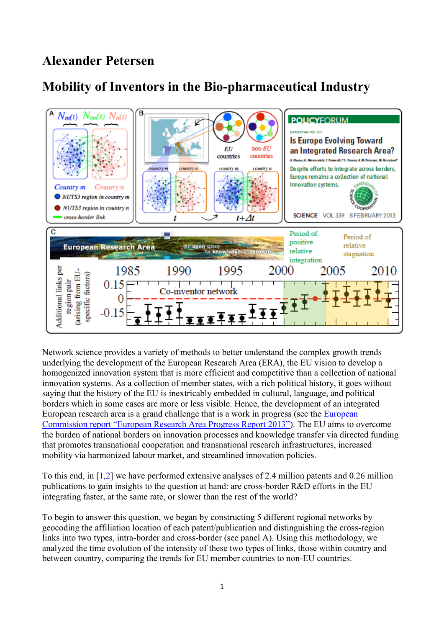## **Alexander Petersen**

## **Mobility of Inventors in the Bio-pharmaceutical Industry**



Network science provides a variety of methods to better understand the complex growth trends underlying the development of the European Research Area (ERA), the EU vision to develop a homogenized innovation system that is more efficient and competitive than a collection of national innovation systems. As a collection of member states, with a rich political history, it goes without saying that the history of the EU is inextricably embedded in cultural, language, and political borders which in some cases are more or less visible. Hence, the development of an integrated European research area is a grand challenge that is a work in progress (see the [European](http://ec.europa.eu/research/era/pdf/era_progress_report2013/era_progress_report2013.pdf)  Com[mission report "European Research Area Progress Report 2013"](http://ec.europa.eu/research/era/pdf/era_progress_report2013/era_progress_report2013.pdf)). The EU aims to overcome the burden of national borders on innovation processes and knowledge transfer via directed funding that promotes transnational cooperation and transnational research infrastructures, increased mobility via harmonized labour market, and streamlined innovation policies.

To this end, in [\[1](http://www.sciencemag.org/content/339/6120/650)[,2\]](http://eprints.imtlucca.it/2085/1/EIC_WP_1_2014.pdf) we have performed extensive analyses of 2.4 million patents and 0.26 million publications to gain insights to the question at hand: are cross-border R&D efforts in the EU integrating faster, at the same rate, or slower than the rest of the world?

To begin to answer this question, we began by constructing 5 different regional networks by geocoding the affiliation location of each patent/publication and distinguishing the cross-region links into two types, intra-border and cross-border (see panel A). Using this methodology, we analyzed the time evolution of the intensity of these two types of links, those within country and between country, comparing the trends for EU member countries to non-EU countries.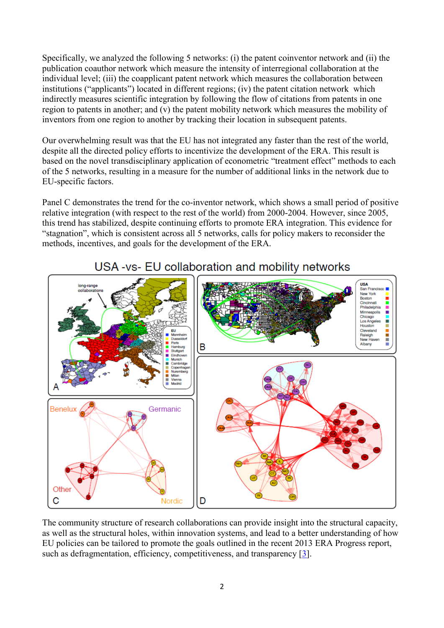Specifically, we analyzed the following 5 networks: (i) the patent coinventor network and (ii) the publication coauthor network which measure the intensity of interregional collaboration at the individual level; (iii) the coapplicant patent network which measures the collaboration between institutions ("applicants") located in different regions; (iv) the patent citation network which indirectly measures scientific integration by following the flow of citations from patents in one region to patents in another; and (v) the patent mobility network which measures the mobility of inventors from one region to another by tracking their location in subsequent patents.

Our overwhelming result was that the EU has not integrated any faster than the rest of the world, despite all the directed policy efforts to incentivize the development of the ERA. This result is based on the novel transdisciplinary application of econometric "treatment effect" methods to each of the 5 networks, resulting in a measure for the number of additional links in the network due to EU-specific factors.

Panel C demonstrates the trend for the co-inventor network, which shows a small period of positive relative integration (with respect to the rest of the world) from 2000-2004. However, since 2005, this trend has stabilized, despite continuing efforts to promote ERA integration. This evidence for "stagnation", which is consistent across all 5 networks, calls for policy makers to reconsider the methods, incentives, and goals for the development of the ERA.



## USA-vs- EU collaboration and mobility networks

The community structure of research collaborations can provide insight into the structural capacity, as well as the structural holes, within innovation systems, and lead to a better understanding of how EU policies can be tailored to promote the goals outlined in the recent 2013 ERA Progress report, such as defragmentation, efficiency, competitiveness, and transparency [\[3\]](http://ec.europa.eu/research/era/pdf/era_progress_report2013/era_progress_report2013.pdf).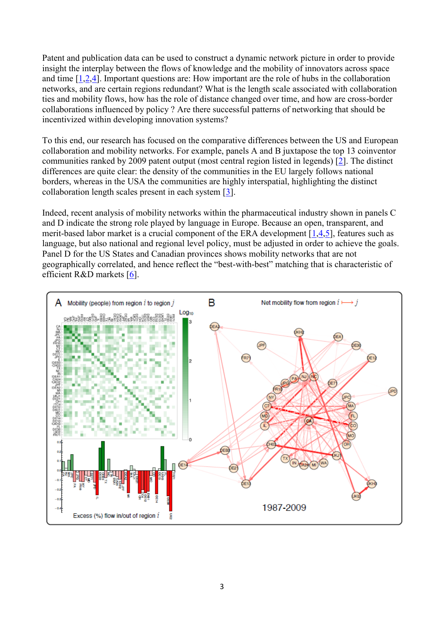Patent and publication data can be used to construct a dynamic network picture in order to provide insight the interplay between the flows of knowledge and the mobility of innovators across space and time [\[1,](http://www.sciencemag.org/content/339/6120/650)[2,](http://eprints.imtlucca.it/2085/1/EIC_WP_1_2014.pdf)[4\]](http://www.nature.com/srep/2014/140401/srep04546/full/srep04546.html). Important questions are: How important are the role of hubs in the collaboration networks, and are certain regions redundant? What is the length scale associated with collaboration ties and mobility flows, how has the role of distance changed over time, and how are cross-border collaborations influenced by policy ? Are there successful patterns of networking that should be incentivized within developing innovation systems?

To this end, our research has focused on the comparative differences between the US and European collaboration and mobility networks. For example, panels A and B juxtapose the top 13 coinventor communities ranked by 2009 patent output (most central region listed in legends) [\[2\]](http://www.sciencemag.org/content/339/6120/650). The distinct differences are quite clear: the density of the communities in the EU largely follows national borders, whereas in the USA the communities are highly interspatial, highlighting the distinct collaboration length scales present in each system [\[3\]](http://www.nature.com/srep/2014/140401/srep04546/full/srep04546.html).

Indeed, recent analysis of mobility networks within the pharmaceutical industry shown in panels C and D indicate the strong role played by language in Europe. Because an open, transparent, and merit-based labor market is a crucial component of the ERA development [\[1](http://ec.europa.eu/research/era/pdf/era_progress_report2013/era_progress_report2013.pdf)[,4](http://eprints.imtlucca.it/2085/1/EIC_WP_1_2014.pdf)[,5\]](http://www.google.com/url?sa=t&rct=j&q=&esrc=s&source=web&cd=1&cad=rja&uact=8&ved=0CCoQFjAA&url=http://www.scienceeurope.org/uploads/PublicDocumentsAndSpeeches/SE%2520and%2520Elsevier%2520Report%2520Final.pdf&ei=ZS88U_6pHcidtQao2ICgCA&usg=AFQjCNGwutQgcYBg1O8yjAZ7ao38nBpLSQ&sig2=0RGsc5va9o1b14xWLDWIMQ&bvm=bv.63934634,d.Yms), features such as language, but also national and regional level policy, must be adjusted in order to achieve the goals. Panel D for the US States and Canadian provinces shows mobility networks that are not geographically correlated, and hence reflect the "best-with-best" matching that is characteristic of efficient R&D markets [\[6\]](http://www.nature.com/news/policy-a-single-market-for-european-research-1.13698).

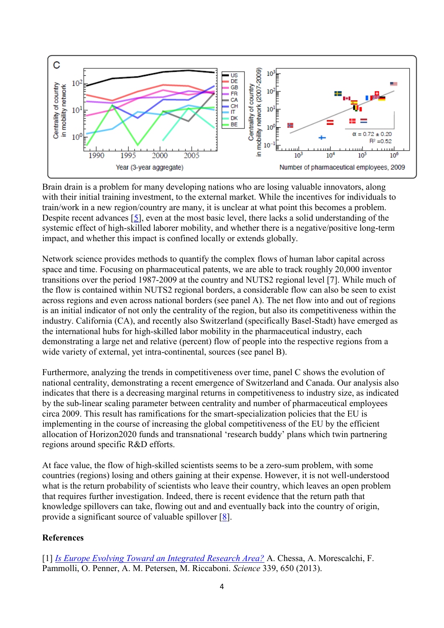

Brain drain is a problem for many developing nations who are losing valuable innovators, along with their initial training investment, to the external market. While the incentives for individuals to train/work in a new region/country are many, it is unclear at what point this becomes a problem. Despite recent advances [\[5\]](http://www.google.com/url?sa=t&rct=j&q=&esrc=s&source=web&cd=1&cad=rja&uact=8&ved=0CCoQFjAA&url=http://www.scienceeurope.org/uploads/PublicDocumentsAndSpeeches/SE%2520and%2520Elsevier%2520Report%2520Final.pdf&ei=ZS88U_6pHcidtQao2ICgCA&usg=AFQjCNGwutQgcYBg1O8yjAZ7ao38nBpLSQ&sig2=0RGsc5va9o1b14xWLDWIMQ&bvm=bv.63934634,d.Yms), even at the most basic level, there lacks a solid understanding of the systemic effect of high-skilled laborer mobility, and whether there is a negative/positive long-term impact, and whether this impact is confined locally or extends globally.

Network science provides methods to quantify the complex flows of human labor capital across space and time. Focusing on pharmaceutical patents, we are able to track roughly 20,000 inventor transitions over the period 1987-2009 at the country and NUTS2 regional level [7]. While much of the flow is contained within NUTS2 regional borders, a considerable flow can also be seen to exist across regions and even across national borders (see panel A). The net flow into and out of regions is an initial indicator of not only the centrality of the region, but also its competitiveness within the industry. California (CA), and recently also Switzerland (specifically Basel-Stadt) have emerged as the international hubs for high-skilled labor mobility in the pharmaceutical industry, each demonstrating a large net and relative (percent) flow of people into the respective regions from a wide variety of external, yet intra-continental, sources (see panel B).

Furthermore, analyzing the trends in competitiveness over time, panel C shows the evolution of national centrality, demonstrating a recent emergence of Switzerland and Canada. Our analysis also indicates that there is a decreasing marginal returns in competitiveness to industry size, as indicated by the sub-linear scaling parameter between centrality and number of pharmaceutical employees circa 2009. This result has ramifications for the smart-specialization policies that the EU is implementing in the course of increasing the global competitiveness of the EU by the efficient allocation of Horizon2020 funds and transnational 'research buddy' plans which twin partnering regions around specific R&D efforts.

At face value, the flow of high-skilled scientists seems to be a zero-sum problem, with some countries (regions) losing and others gaining at their expense. However, it is not well-understood what is the return probability of scientists who leave their country, which leaves an open problem that requires further investigation. Indeed, there is recent evidence that the return path that knowledge spillovers can take, flowing out and and eventually back into the country of origin, provide a significant source of valuable spillover [\[8\]](http://www.computer.org/csdl/proceedings/sitis/2013/3211/00/3211a546.pdf).

## **References**

[1] *[Is Europe Evolving Toward an Integrated Research Area?](http://www.sciencemag.org/content/339/6120/650)* A. Chessa, A. Morescalchi, F. Pammolli, O. Penner, A. M. Petersen, M. Riccaboni. *Science* 339, 650 (2013).